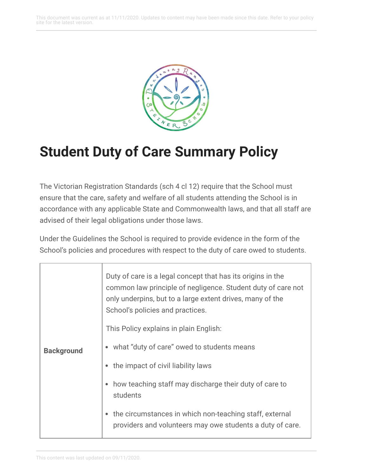This document was current as at 11/11/2020. Updates to content may have been made since this date. Refer to your policy site for the latest version.



## **Student Duty of Care Summary Policy**

The Victorian Registration Standards (sch 4 cl 12) require that the School must ensure that the care, safety and welfare of all students attending the School is in accordance with any applicable State and Commonwealth laws, and that all staff are advised of their legal obligations under those laws.

Under the Guidelines the School is required to provide evidence in the form of the School's policies and procedures with respect to the duty of care owed to students.

| <b>Background</b> | Duty of care is a legal concept that has its origins in the<br>common law principle of negligence. Student duty of care not<br>only underpins, but to a large extent drives, many of the<br>School's policies and practices. |
|-------------------|------------------------------------------------------------------------------------------------------------------------------------------------------------------------------------------------------------------------------|
|                   | This Policy explains in plain English:                                                                                                                                                                                       |
|                   | • what "duty of care" owed to students means                                                                                                                                                                                 |
|                   | • the impact of civil liability laws                                                                                                                                                                                         |
|                   | how teaching staff may discharge their duty of care to<br>students                                                                                                                                                           |
|                   | the circumstances in which non-teaching staff, external<br>$\bullet$<br>providers and volunteers may owe students a duty of care.                                                                                            |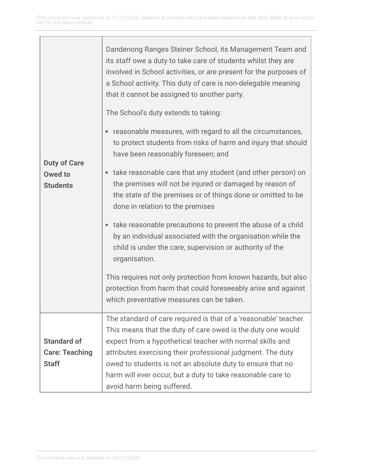| <b>Duty of Care</b><br><b>Owed to</b><br><b>Students</b> | Dandenong Ranges Steiner School, its Management Team and<br>its staff owe a duty to take care of students whilst they are<br>involved in School activities, or are present for the purposes of<br>a School activity. This duty of care is non-delegable meaning<br>that it cannot be assigned to another party.<br>The School's duty extends to taking:<br>reasonable measures, with regard to all the circumstances,<br>$\bullet$<br>to protect students from risks of harm and injury that should<br>have been reasonably foreseen; and<br>take reasonable care that any student (and other person) on<br>$\bullet$<br>the premises will not be injured or damaged by reason of<br>the state of the premises or of things done or omitted to be<br>done in relation to the premises<br>take reasonable precautions to prevent the abuse of a child<br>$\bullet$<br>by an individual associated with the organisation while the<br>child is under the care, supervision or authority of the<br>organisation.<br>This requires not only protection from known hazards, but also |
|----------------------------------------------------------|---------------------------------------------------------------------------------------------------------------------------------------------------------------------------------------------------------------------------------------------------------------------------------------------------------------------------------------------------------------------------------------------------------------------------------------------------------------------------------------------------------------------------------------------------------------------------------------------------------------------------------------------------------------------------------------------------------------------------------------------------------------------------------------------------------------------------------------------------------------------------------------------------------------------------------------------------------------------------------------------------------------------------------------------------------------------------------|
|                                                          | protection from harm that could foreseeably arise and against<br>which preventative measures can be taken.                                                                                                                                                                                                                                                                                                                                                                                                                                                                                                                                                                                                                                                                                                                                                                                                                                                                                                                                                                      |
|                                                          | The standard of care required is that of a 'reasonable' teacher.                                                                                                                                                                                                                                                                                                                                                                                                                                                                                                                                                                                                                                                                                                                                                                                                                                                                                                                                                                                                                |
|                                                          | This means that the duty of care owed is the duty one would                                                                                                                                                                                                                                                                                                                                                                                                                                                                                                                                                                                                                                                                                                                                                                                                                                                                                                                                                                                                                     |
| <b>Standard of</b>                                       | expect from a hypothetical teacher with normal skills and                                                                                                                                                                                                                                                                                                                                                                                                                                                                                                                                                                                                                                                                                                                                                                                                                                                                                                                                                                                                                       |
| <b>Care: Teaching</b>                                    | attributes exercising their professional judgment. The duty                                                                                                                                                                                                                                                                                                                                                                                                                                                                                                                                                                                                                                                                                                                                                                                                                                                                                                                                                                                                                     |
| <b>Staff</b>                                             | owed to students is not an absolute duty to ensure that no                                                                                                                                                                                                                                                                                                                                                                                                                                                                                                                                                                                                                                                                                                                                                                                                                                                                                                                                                                                                                      |
|                                                          | harm will ever occur, but a duty to take reasonable care to                                                                                                                                                                                                                                                                                                                                                                                                                                                                                                                                                                                                                                                                                                                                                                                                                                                                                                                                                                                                                     |
|                                                          | avoid harm being suffered.                                                                                                                                                                                                                                                                                                                                                                                                                                                                                                                                                                                                                                                                                                                                                                                                                                                                                                                                                                                                                                                      |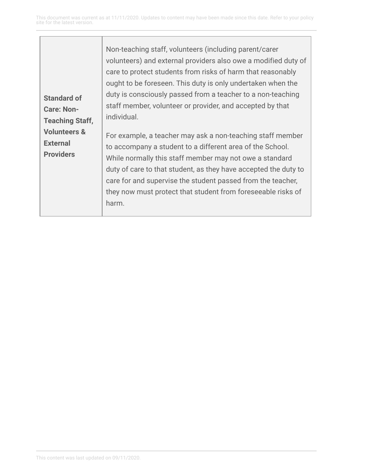| <b>Standard of</b><br><b>Care: Non-</b><br><b>Teaching Staff,</b><br><b>Volunteers &amp;</b><br><b>External</b><br><b>Providers</b> | Non-teaching staff, volunteers (including parent/carer<br>volunteers) and external providers also owe a modified duty of<br>care to protect students from risks of harm that reasonably<br>ought to be foreseen. This duty is only undertaken when the<br>duty is consciously passed from a teacher to a non-teaching<br>staff member, volunteer or provider, and accepted by that<br>individual.<br>For example, a teacher may ask a non-teaching staff member<br>to accompany a student to a different area of the School.<br>While normally this staff member may not owe a standard<br>duty of care to that student, as they have accepted the duty to<br>care for and supervise the student passed from the teacher,<br>they now must protect that student from foreseeable risks of<br>harm. |
|-------------------------------------------------------------------------------------------------------------------------------------|----------------------------------------------------------------------------------------------------------------------------------------------------------------------------------------------------------------------------------------------------------------------------------------------------------------------------------------------------------------------------------------------------------------------------------------------------------------------------------------------------------------------------------------------------------------------------------------------------------------------------------------------------------------------------------------------------------------------------------------------------------------------------------------------------|
|-------------------------------------------------------------------------------------------------------------------------------------|----------------------------------------------------------------------------------------------------------------------------------------------------------------------------------------------------------------------------------------------------------------------------------------------------------------------------------------------------------------------------------------------------------------------------------------------------------------------------------------------------------------------------------------------------------------------------------------------------------------------------------------------------------------------------------------------------------------------------------------------------------------------------------------------------|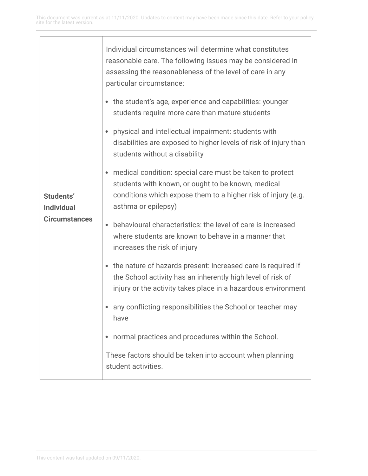| Students'<br><b>Individual</b><br><b>Circumstances</b> | Individual circumstances will determine what constitutes<br>reasonable care. The following issues may be considered in<br>assessing the reasonableness of the level of care in any<br>particular circumstance:      |
|--------------------------------------------------------|---------------------------------------------------------------------------------------------------------------------------------------------------------------------------------------------------------------------|
|                                                        | • the student's age, experience and capabilities: younger<br>students require more care than mature students                                                                                                        |
|                                                        | physical and intellectual impairment: students with<br>disabilities are exposed to higher levels of risk of injury than<br>students without a disability                                                            |
|                                                        | medical condition: special care must be taken to protect<br>$\bullet$<br>students with known, or ought to be known, medical<br>conditions which expose them to a higher risk of injury (e.g.<br>asthma or epilepsy) |
|                                                        | behavioural characteristics: the level of care is increased<br>where students are known to behave in a manner that<br>increases the risk of injury                                                                  |
|                                                        | the nature of hazards present: increased care is required if<br>۰<br>the School activity has an inherently high level of risk of<br>injury or the activity takes place in a hazardous environment                   |
|                                                        | any conflicting responsibilities the School or teacher may<br>have                                                                                                                                                  |
|                                                        | normal practices and procedures within the School.                                                                                                                                                                  |
|                                                        | These factors should be taken into account when planning<br>student activities.                                                                                                                                     |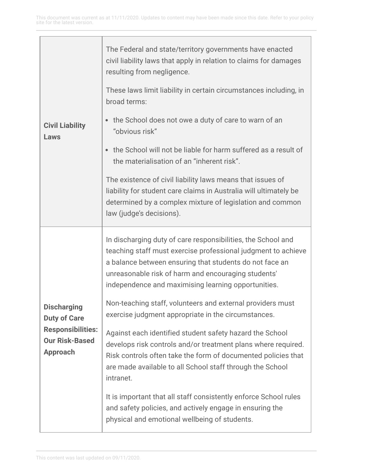| <b>Civil Liability</b><br>Laws                                                                                    | The Federal and state/territory governments have enacted<br>civil liability laws that apply in relation to claims for damages<br>resulting from negligence.                                                                                                                                            |
|-------------------------------------------------------------------------------------------------------------------|--------------------------------------------------------------------------------------------------------------------------------------------------------------------------------------------------------------------------------------------------------------------------------------------------------|
|                                                                                                                   | These laws limit liability in certain circumstances including, in<br>broad terms:                                                                                                                                                                                                                      |
|                                                                                                                   | the School does not owe a duty of care to warn of an<br>"obvious risk"                                                                                                                                                                                                                                 |
|                                                                                                                   | the School will not be liable for harm suffered as a result of<br>the materialisation of an "inherent risk".                                                                                                                                                                                           |
|                                                                                                                   | The existence of civil liability laws means that issues of<br>liability for student care claims in Australia will ultimately be<br>determined by a complex mixture of legislation and common<br>law (judge's decisions).                                                                               |
| <b>Discharging</b><br><b>Duty of Care</b><br><b>Responsibilities:</b><br><b>Our Risk-Based</b><br><b>Approach</b> | In discharging duty of care responsibilities, the School and<br>teaching staff must exercise professional judgment to achieve<br>a balance between ensuring that students do not face an<br>unreasonable risk of harm and encouraging students'<br>independence and maximising learning opportunities. |
|                                                                                                                   | Non-teaching staff, volunteers and external providers must<br>exercise judgment appropriate in the circumstances.                                                                                                                                                                                      |
|                                                                                                                   | Against each identified student safety hazard the School<br>develops risk controls and/or treatment plans where required.<br>Risk controls often take the form of documented policies that<br>are made available to all School staff through the School<br>intranet.                                   |
|                                                                                                                   | It is important that all staff consistently enforce School rules<br>and safety policies, and actively engage in ensuring the<br>physical and emotional wellbeing of students.                                                                                                                          |